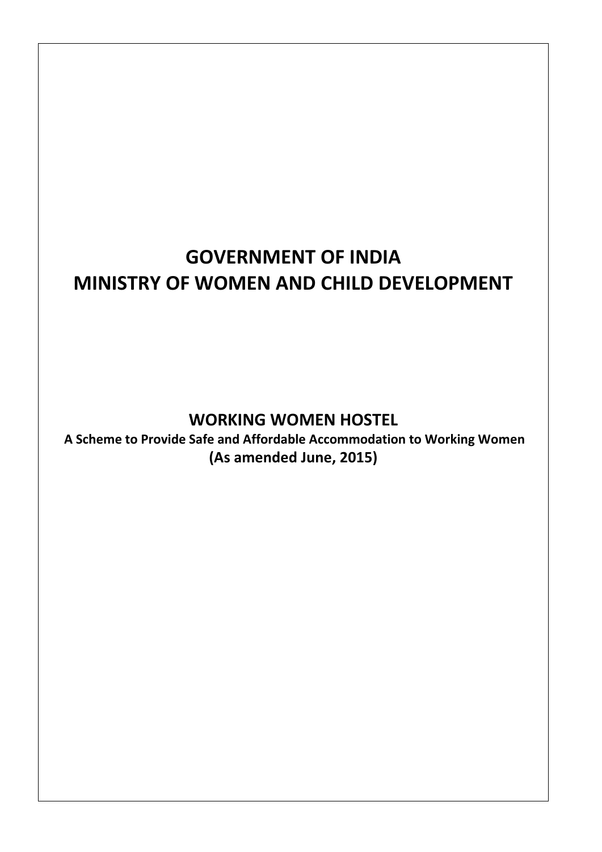# **GOVERNMENT OF INDIA MINISTRY OF WOMEN AND CHILD DEVELOPMENT**

## **WORKING WOMEN HOSTEL**

**A Scheme to Provide Safe and Affordable Accommodation to Working Women (As amended June, 2015)**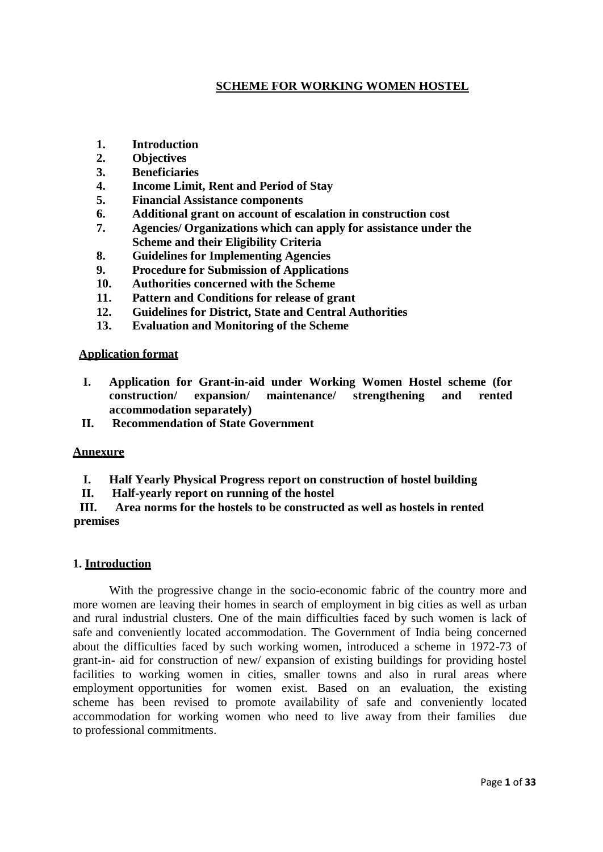## **SCHEME FOR WORKING WOMEN HOSTEL**

- **[1. Introduction](http://www.wcd.nic.in/us12.html#us1201)**
- **[2. Objectives](http://www.wcd.nic.in/us12.html#us1202)**
- **[3. Beneficiaries](http://www.wcd.nic.in/us12.html#us1203)**
- **[4. Income](http://www.wcd.nic.in/us12.html#us1204) Limit, Rent and Period of Stay**
- **[5. Financial](http://www.wcd.nic.in/us12.html#us1206) Assistance components**
- **6. Additional grant on account of escalation in construction cost**
- **7. Agencies/ Organizations which can apply for assistance under the Scheme and their Eligibility Criteria**
- **8. Guidelines for Implementing Agencies**
- **9. Procedure for Submission of Applications**
- **10. Authorities concerned with the Scheme**
- **[11. Pattern](http://www.wcd.nic.in/us12.html#us1207) and Conditions for release of grant**
- **12. Guidelines for District, State and Central Authorities**
- **13. Evaluation and Monitoring of the Scheme**

## **Application format**

- **I. Application for Grant-in-aid under Working Women Hostel scheme (for construction/ expansion/ maintenance/ strengthening and rented accommodation separately)**
- **II. Recommendation of State Government**

## **Annexure**

- **I. Half Yearly Physical Progress report on construction of hostel building**
- **II. Half-yearly report on running of the hostel**

 **III. Area norms for the hostels to be constructed as well as hostels in rented premises**

## **1. Introduction**

With the progressive change in the socio-economic fabric of the country more and more women are leaving their homes in search of employment in big cities as well as urban and rural industrial clusters. One of the main difficulties faced by such women is lack of safe and conveniently located accommodation. The Government of India being concerned about the difficulties faced by such working women, introduced a scheme in 1972-73 of grant-in- aid for construction of new/ expansion of existing buildings for providing hostel facilities to working women in cities, smaller towns and also in rural areas where employment opportunities for women exist. Based on an evaluation, the existing scheme has been revised to promote availability of safe and conveniently located accommodation for working women who need to live away from their families due to professional commitments.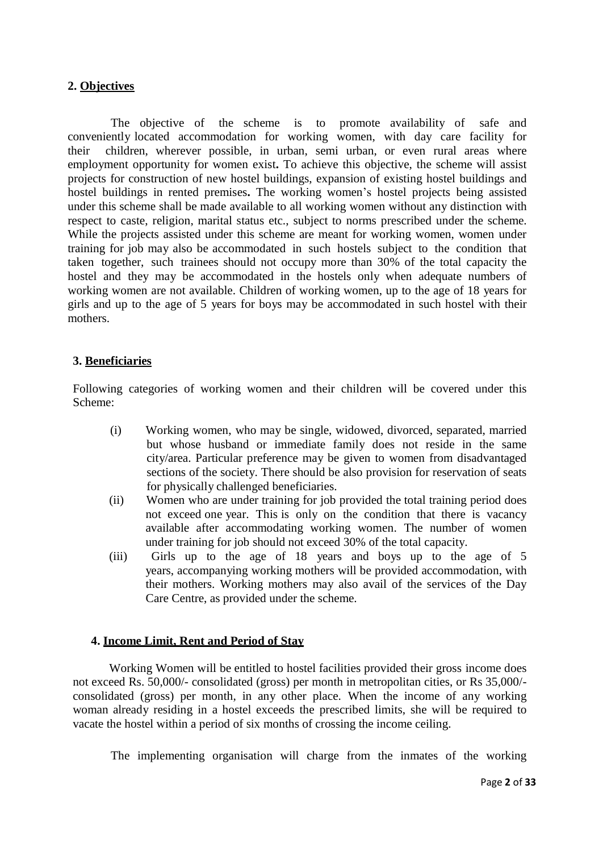## **2. Objectives**

The objective of the scheme is to promote availability of safe and conveniently located accommodation for working women, with day care facility for their children, wherever possible, in urban, semi urban, or even rural areas where employment opportunity for women exist**.** To achieve this objective, the scheme will assist projects for construction of new hostel buildings, expansion of existing hostel buildings and hostel buildings in rented premises**.** The working women's hostel projects being assisted under this scheme shall be made available to all working women without any distinction with respect to caste, religion, marital status etc., subject to norms prescribed under the scheme. While the projects assisted under this scheme are meant for working women, women under training for job may also be accommodated in such hostels subject to the condition that taken together, such trainees should not occupy more than 30% of the total capacity the hostel and they may be accommodated in the hostels only when adequate numbers of working women are not available. Children of working women, up to the age of 18 years for girls and up to the age of 5 years for boys may be accommodated in such hostel with their mothers.

## **3. Beneficiaries**

Following categories of working women and their children will be covered under this Scheme:

- (i) Working women, who may be single, widowed, divorced, separated, married but whose husband or immediate family does not reside in the same city/area. Particular preference may be given to women from disadvantaged sections of the society. There should be also provision for reservation of seats for physically challenged beneficiaries.
- (ii) Women who are under training for job provided the total training period does not exceed one year. This is only on the condition that there is vacancy available after accommodating working women. The number of women under training for job should not exceed 30% of the total capacity.
- (iii) Girls up to the age of 18 years and boys up to the age of 5 years, accompanying working mothers will be provided accommodation, with their mothers. Working mothers may also avail of the services of the Day Care Centre, as provided under the scheme.

## **4. Income Limit, Rent and Period of Stay**

Working Women will be entitled to hostel facilities provided their gross income does not exceed Rs. 50,000/- consolidated (gross) per month in metropolitan cities, or Rs 35,000/ consolidated (gross) per month, in any other place. When the income of any working woman already residing in a hostel exceeds the prescribed limits, she will be required to vacate the hostel within a period of six months of crossing the income ceiling.

The implementing organisation will charge from the inmates of the working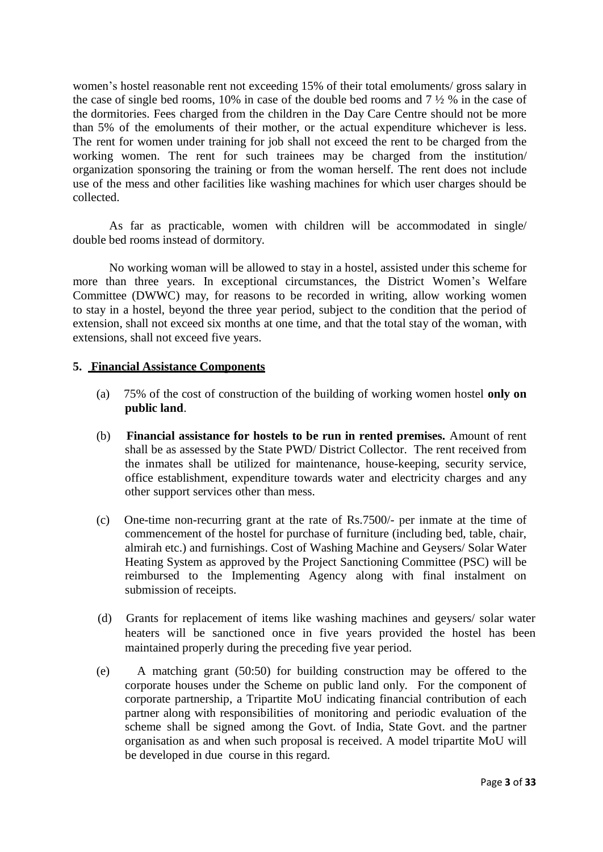women's hostel reasonable rent not exceeding 15% of their total emoluments/ gross salary in the case of single bed rooms, 10% in case of the double bed rooms and 7 ½ % in the case of the dormitories. Fees charged from the children in the Day Care Centre should not be more than 5% of the emoluments of their mother, or the actual expenditure whichever is less. The rent for women under training for job shall not exceed the rent to be charged from the working women. The rent for such trainees may be charged from the institution/ organization sponsoring the training or from the woman herself. The rent does not include use of the mess and other facilities like washing machines for which user charges should be collected.

As far as practicable, women with children will be accommodated in single/ double bed rooms instead of dormitory.

No working woman will be allowed to stay in a hostel, assisted under this scheme for more than three years. In exceptional circumstances, the District Women's Welfare Committee (DWWC) may, for reasons to be recorded in writing, allow working women to stay in a hostel, beyond the three year period, subject to the condition that the period of extension, shall not exceed six months at one time, and that the total stay of the woman, with extensions, shall not exceed five years.

## **5. Financial Assistance Components**

- (a) 75% of the cost of construction of the building of working women hostel **only on public land**.
- (b) **Financial assistance for hostels to be run in rented premises.** Amount of rent shall be as assessed by the State PWD/ District Collector. The rent received from the inmates shall be utilized for maintenance, house-keeping, security service, office establishment, expenditure towards water and electricity charges and any other support services other than mess.
- (c) One-time non-recurring grant at the rate of Rs.7500/- per inmate at the time of commencement of the hostel for purchase of furniture (including bed, table, chair, almirah etc.) and furnishings. Cost of Washing Machine and Geysers/ Solar Water Heating System as approved by the Project Sanctioning Committee (PSC) will be reimbursed to the Implementing Agency along with final instalment on submission of receipts.
- (d) Grants for replacement of items like washing machines and geysers/ solar water heaters will be sanctioned once in five years provided the hostel has been maintained properly during the preceding five year period.
- (e) A matching grant (50:50) for building construction may be offered to the corporate houses under the Scheme on public land only. For the component of corporate partnership, a Tripartite MoU indicating financial contribution of each partner along with responsibilities of monitoring and periodic evaluation of the scheme shall be signed among the Govt. of India, State Govt. and the partner organisation as and when such proposal is received. A model tripartite MoU will be developed in due course in this regard.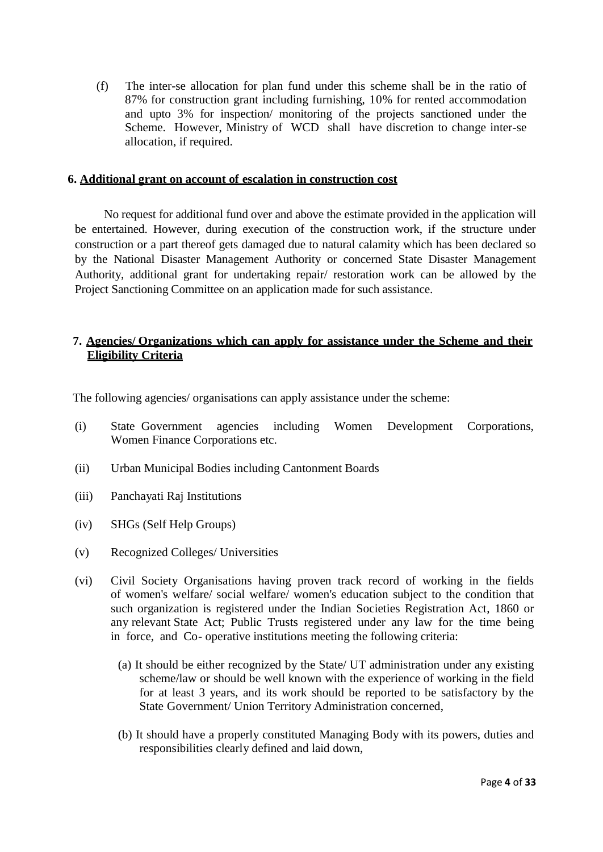(f) The inter-se allocation for plan fund under this scheme shall be in the ratio of 87% for construction grant including furnishing, 10% for rented accommodation and upto 3% for inspection/ monitoring of the projects sanctioned under the Scheme. However, Ministry of WCD shall have discretion to change inter-se allocation, if required.

## **6. Additional grant on account of escalation in construction cost**

No request for additional fund over and above the estimate provided in the application will be entertained. However, during execution of the construction work, if the structure under construction or a part thereof gets damaged due to natural calamity which has been declared so by the National Disaster Management Authority or concerned State Disaster Management Authority, additional grant for undertaking repair/ restoration work can be allowed by the Project Sanctioning Committee on an application made for such assistance.

## **7. Agencies/ Organizations which can apply for assistance under the Scheme and their Eligibility Criteria**

The following agencies/ organisations can apply assistance under the scheme:

- (i) State Government agencies including Women Development Corporations, Women Finance Corporations etc.
- (ii) Urban Municipal Bodies including Cantonment Boards
- (iii) Panchayati Raj Institutions
- (iv) SHGs (Self Help Groups)
- (v) Recognized Colleges/ Universities
- (vi) Civil Society Organisations having proven track record of working in the fields of women's welfare/ social welfare/ women's education subject to the condition that such organization is registered under the Indian Societies Registration Act, 1860 or any relevant State Act; Public Trusts registered under any law for the time being in force, and Co- operative institutions meeting the following criteria:
	- (a) It should be either recognized by the State/ UT administration under any existing scheme/law or should be well known with the experience of working in the field for at least 3 years, and its work should be reported to be satisfactory by the State Government/ Union Territory Administration concerned,
	- (b) It should have a properly constituted Managing Body with its powers, duties and responsibilities clearly defined and laid down,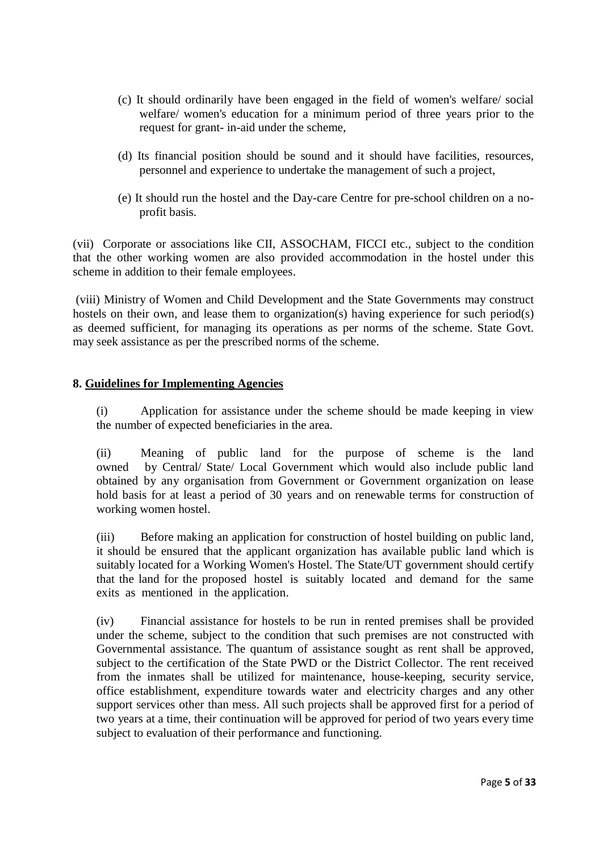- (c) It should ordinarily have been engaged in the field of women's welfare/ social welfare/ women's education for a minimum period of three years prior to the request for grant- in-aid under the scheme,
- (d) Its financial position should be sound and it should have facilities, resources, personnel and experience to undertake the management of such a project,
- (e) It should run the hostel and the Day-care Centre for pre-school children on a noprofit basis.

(vii) Corporate or associations like CII, ASSOCHAM, FICCI etc., subject to the condition that the other working women are also provided accommodation in the hostel under this scheme in addition to their female employees.

(viii) Ministry of Women and Child Development and the State Governments may construct hostels on their own, and lease them to organization(s) having experience for such period(s) as deemed sufficient, for managing its operations as per norms of the scheme. State Govt. may seek assistance as per the prescribed norms of the scheme.

## **8. Guidelines for Implementing Agencies**

(i) Application for assistance under the scheme should be made keeping in view the number of expected beneficiaries in the area.

(ii) Meaning of public land for the purpose of scheme is the land owned by Central/ State/ Local Government which would also include public land obtained by any organisation from Government or Government organization on lease hold basis for at least a period of 30 years and on renewable terms for construction of working women hostel.

(iii) Before making an application for construction of hostel building on public land, it should be ensured that the applicant organization has available public land which is suitably located for a Working Women's Hostel. The State/UT government should certify that the land for the proposed hostel is suitably located and demand for the same exits as mentioned in the application.

(iv) Financial assistance for hostels to be run in rented premises shall be provided under the scheme, subject to the condition that such premises are not constructed with Governmental assistance. The quantum of assistance sought as rent shall be approved, subject to the certification of the State PWD or the District Collector. The rent received from the inmates shall be utilized for maintenance, house-keeping, security service, office establishment, expenditure towards water and electricity charges and any other support services other than mess. All such projects shall be approved first for a period of two years at a time, their continuation will be approved for period of two years every time subject to evaluation of their performance and functioning.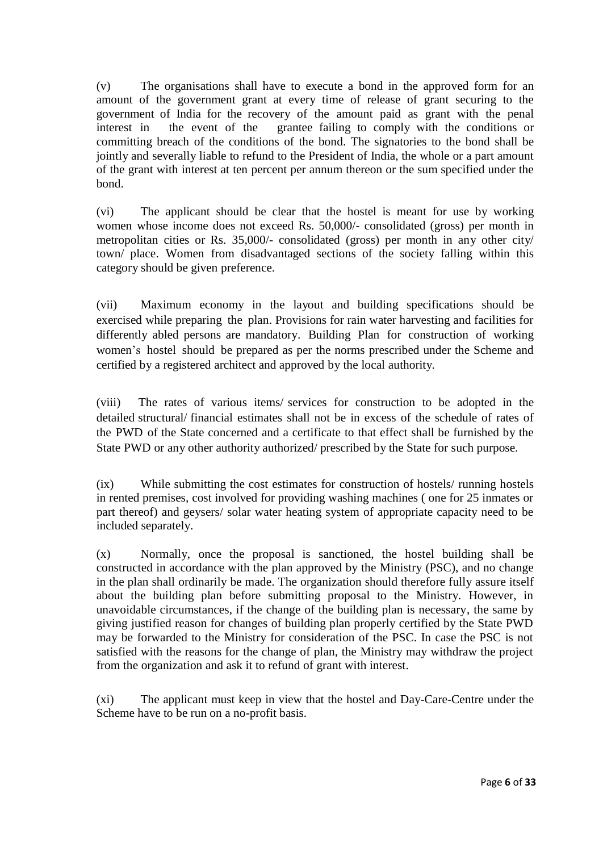(v) The organisations shall have to execute a bond in the approved form for an amount of the government grant at every time of release of grant securing to the government of India for the recovery of the amount paid as grant with the penal interest in the event of the grantee failing to comply with the conditions or committing breach of the conditions of the bond. The signatories to the bond shall be jointly and severally liable to refund to the President of India, the whole or a part amount of the grant with interest at ten percent per annum thereon or the sum specified under the bond.

(vi) The applicant should be clear that the hostel is meant for use by working women whose income does not exceed Rs. 50,000/- consolidated (gross) per month in metropolitan cities or Rs. 35,000/- consolidated (gross) per month in any other city/ town/ place. Women from disadvantaged sections of the society falling within this category should be given preference.

(vii) Maximum economy in the layout and building specifications should be exercised while preparing the plan. Provisions for rain water harvesting and facilities for differently abled persons are mandatory. Building Plan for construction of working women's hostel should be prepared as per the norms prescribed under the Scheme and certified by a registered architect and approved by the local authority.

(viii) The rates of various items/ services for construction to be adopted in the detailed structural/ financial estimates shall not be in excess of the schedule of rates of the PWD of the State concerned and a certificate to that effect shall be furnished by the State PWD or any other authority authorized/ prescribed by the State for such purpose.

(ix) While submitting the cost estimates for construction of hostels/ running hostels in rented premises, cost involved for providing washing machines ( one for 25 inmates or part thereof) and geysers/ solar water heating system of appropriate capacity need to be included separately.

(x) Normally, once the proposal is sanctioned, the hostel building shall be constructed in accordance with the plan approved by the Ministry (PSC), and no change in the plan shall ordinarily be made. The organization should therefore fully assure itself about the building plan before submitting proposal to the Ministry. However, in unavoidable circumstances, if the change of the building plan is necessary, the same by giving justified reason for changes of building plan properly certified by the State PWD may be forwarded to the Ministry for consideration of the PSC. In case the PSC is not satisfied with the reasons for the change of plan, the Ministry may withdraw the project from the organization and ask it to refund of grant with interest.

(xi) The applicant must keep in view that the hostel and Day-Care-Centre under the Scheme have to be run on a no-profit basis.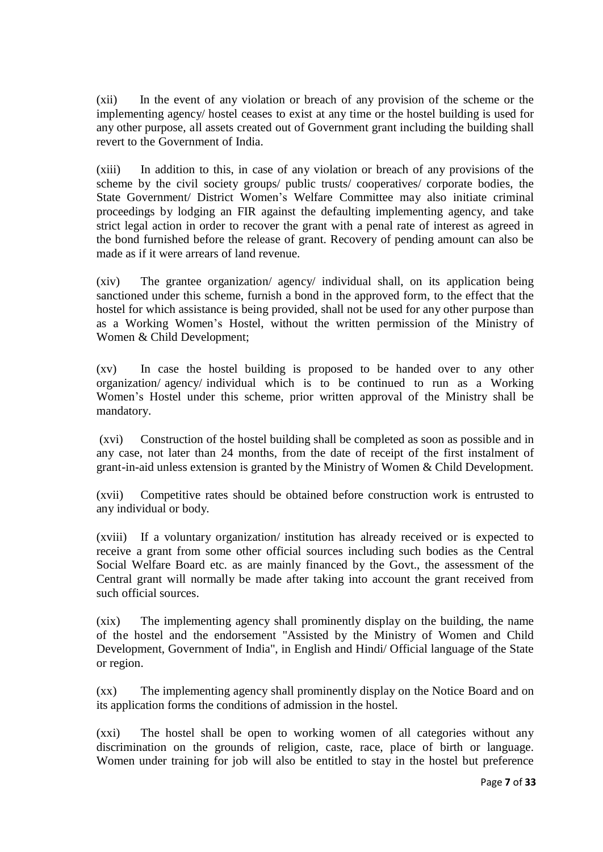(xii) In the event of any violation or breach of any provision of the scheme or the implementing agency/ hostel ceases to exist at any time or the hostel building is used for any other purpose, all assets created out of Government grant including the building shall revert to the Government of India.

(xiii) In addition to this, in case of any violation or breach of any provisions of the scheme by the civil society groups/ public trusts/ cooperatives/ corporate bodies, the State Government/ District Women's Welfare Committee may also initiate criminal proceedings by lodging an FIR against the defaulting implementing agency, and take strict legal action in order to recover the grant with a penal rate of interest as agreed in the bond furnished before the release of grant. Recovery of pending amount can also be made as if it were arrears of land revenue.

(xiv) The grantee organization/ agency/ individual shall, on its application being sanctioned under this scheme, furnish a bond in the approved form, to the effect that the hostel for which assistance is being provided, shall not be used for any other purpose than as a Working Women's Hostel, without the written permission of the Ministry of Women & Child Development;

(xv) In case the hostel building is proposed to be handed over to any other organization/ agency/ individual which is to be continued to run as a Working Women's Hostel under this scheme, prior written approval of the Ministry shall be mandatory.

(xvi) Construction of the hostel building shall be completed as soon as possible and in any case, not later than 24 months, from the date of receipt of the first instalment of grant-in-aid unless extension is granted by the Ministry of Women & Child Development.

(xvii) Competitive rates should be obtained before construction work is entrusted to any individual or body.

(xviii) If a voluntary organization/ institution has already received or is expected to receive a grant from some other official sources including such bodies as the Central Social Welfare Board etc. as are mainly financed by the Govt., the assessment of the Central grant will normally be made after taking into account the grant received from such official sources.

(xix) The implementing agency shall prominently display on the building, the name of the hostel and the endorsement "Assisted by the Ministry of Women and Child Development, Government of India", in English and Hindi/ Official language of the State or region.

(xx) The implementing agency shall prominently display on the Notice Board and on its application forms the conditions of admission in the hostel.

(xxi) The hostel shall be open to working women of all categories without any discrimination on the grounds of religion, caste, race, place of birth or language. Women under training for job will also be entitled to stay in the hostel but preference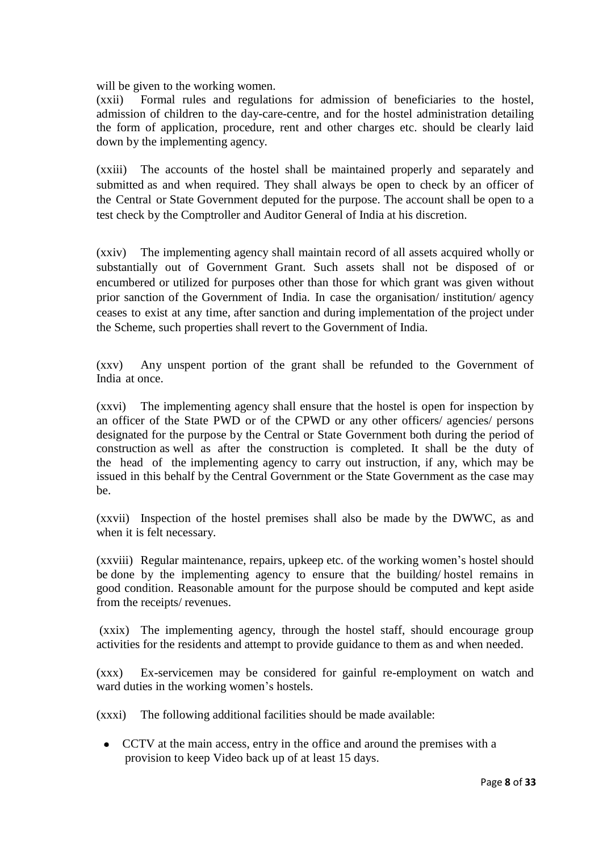will be given to the working women.

(xxii) Formal rules and regulations for admission of beneficiaries to the hostel, admission of children to the day-care-centre, and for the hostel administration detailing the form of application, procedure, rent and other charges etc. should be clearly laid down by the implementing agency.

(xxiii) The accounts of the hostel shall be maintained properly and separately and submitted as and when required. They shall always be open to check by an officer of the Central or State Government deputed for the purpose. The account shall be open to a test check by the Comptroller and Auditor General of India at his discretion.

(xxiv) The implementing agency shall maintain record of all assets acquired wholly or substantially out of Government Grant. Such assets shall not be disposed of or encumbered or utilized for purposes other than those for which grant was given without prior sanction of the Government of India. In case the organisation/ institution/ agency ceases to exist at any time, after sanction and during implementation of the project under the Scheme, such properties shall revert to the Government of India.

(xxv) Any unspent portion of the grant shall be refunded to the Government of India at once.

(xxvi) The implementing agency shall ensure that the hostel is open for inspection by an officer of the State PWD or of the CPWD or any other officers/ agencies/ persons designated for the purpose by the Central or State Government both during the period of construction as well as after the construction is completed. It shall be the duty of the head of the implementing agency to carry out instruction, if any, which may be issued in this behalf by the Central Government or the State Government as the case may be.

(xxvii) Inspection of the hostel premises shall also be made by the DWWC, as and when it is felt necessary.

(xxviii) Regular maintenance, repairs, upkeep etc. of the working women's hostel should be done by the implementing agency to ensure that the building/ hostel remains in good condition. Reasonable amount for the purpose should be computed and kept aside from the receipts/ revenues.

(xxix) The implementing agency, through the hostel staff, should encourage group activities for the residents and attempt to provide guidance to them as and when needed.

(xxx) Ex-servicemen may be considered for gainful re-employment on watch and ward duties in the working women's hostels.

(xxxi) The following additional facilities should be made available:

 CCTV at the main access, entry in the office and around the premises with a provision to keep Video back up of at least 15 days.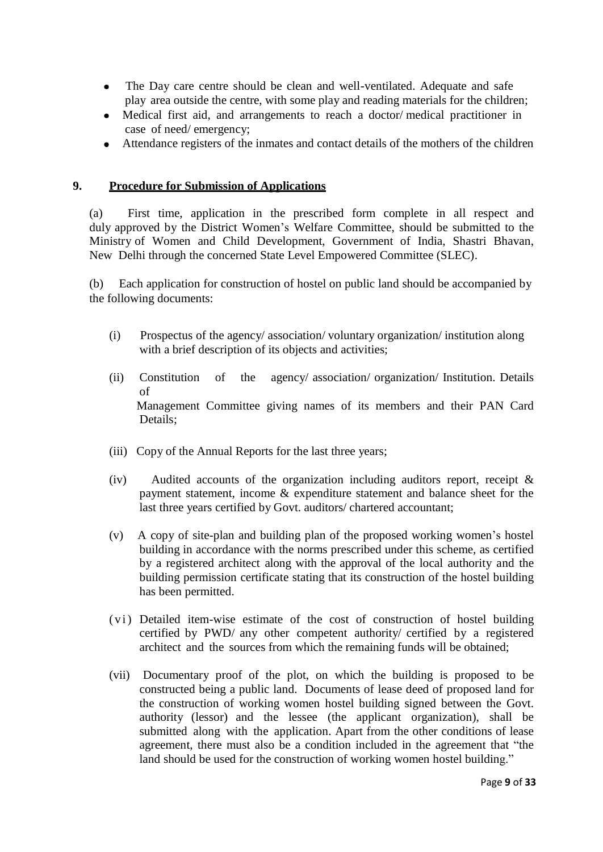- The Day care centre should be clean and well-ventilated. Adequate and safe play area outside the centre, with some play and reading materials for the children;
- Medical first aid, and arrangements to reach a doctor/ medical practitioner in case of need/ emergency;
- Attendance registers of the inmates and contact details of the mothers of the children

## **9. Procedure for Submission of Applications**

(a) First time, application in the prescribed form complete in all respect and duly approved by the District Women's Welfare Committee, should be submitted to the Ministry of Women and Child Development, Government of India, Shastri Bhavan, New Delhi through the concerned State Level Empowered Committee (SLEC).

(b) Each application for construction of hostel on public land should be accompanied by the following documents:

- (i) Prospectus of the agency/ association/ voluntary organization/ institution along with a brief description of its objects and activities;
- (ii) Constitution of the agency/ association/ organization/ Institution. Details of Management Committee giving names of its members and their PAN Card Details;
- (iii) Copy of the Annual Reports for the last three years;
- (iv) Audited accounts of the organization including auditors report, receipt & payment statement, income & expenditure statement and balance sheet for the last three years certified by Govt. auditors/ chartered accountant;
- (v) A copy of site-plan and building plan of the proposed working women's hostel building in accordance with the norms prescribed under this scheme, as certified by a registered architect along with the approval of the local authority and the building permission certificate stating that its construction of the hostel building has been permitted.
- (vi) Detailed item-wise estimate of the cost of construction of hostel building certified by PWD/ any other competent authority/ certified by a registered architect and the sources from which the remaining funds will be obtained;
- (vii) Documentary proof of the plot, on which the building is proposed to be constructed being a public land. Documents of lease deed of proposed land for the construction of working women hostel building signed between the Govt. authority (lessor) and the lessee (the applicant organization), shall be submitted along with the application. Apart from the other conditions of lease agreement, there must also be a condition included in the agreement that "the land should be used for the construction of working women hostel building."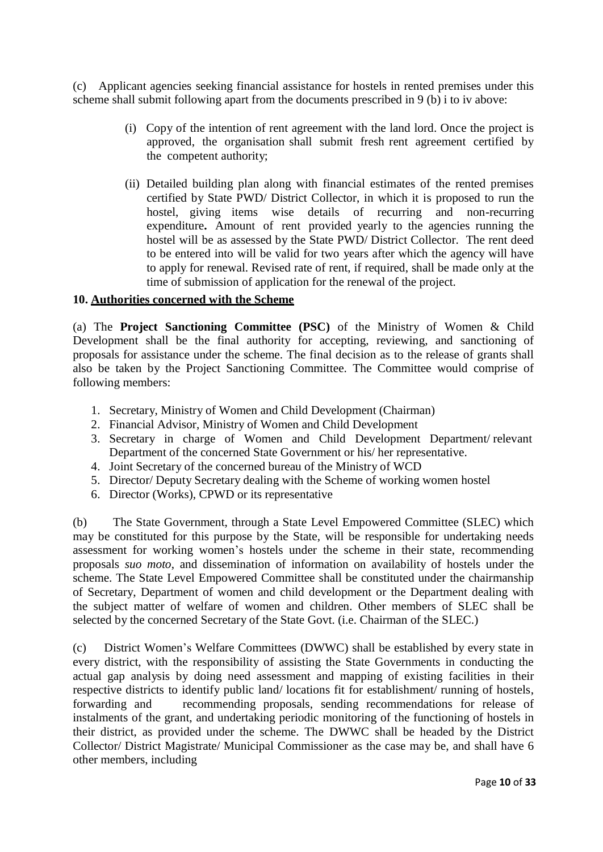(c) Applicant agencies seeking financial assistance for hostels in rented premises under this scheme shall submit following apart from the documents prescribed in 9 (b) i to iv above:

- (i) Copy of the intention of rent agreement with the land lord. Once the project is approved, the organisation shall submit fresh rent agreement certified by the competent authority;
- (ii) Detailed building plan along with financial estimates of the rented premises certified by State PWD/ District Collector, in which it is proposed to run the hostel, giving items wise details of recurring and non-recurring expenditure**.** Amount of rent provided yearly to the agencies running the hostel will be as assessed by the State PWD/ District Collector. The rent deed to be entered into will be valid for two years after which the agency will have to apply for renewal. Revised rate of rent, if required, shall be made only at the time of submission of application for the renewal of the project.

## **10. Authorities concerned with the Scheme**

(a) The **Project Sanctioning Committee (PSC)** of the Ministry of Women & Child Development shall be the final authority for accepting, reviewing, and sanctioning of proposals for assistance under the scheme. The final decision as to the release of grants shall also be taken by the Project Sanctioning Committee. The Committee would comprise of following members:

- 1. Secretary, Ministry of Women and Child Development (Chairman)
- 2. Financial Advisor, Ministry of Women and Child Development
- 3. Secretary in charge of Women and Child Development Department/ relevant Department of the concerned State Government or his/ her representative.
- 4. Joint Secretary of the concerned bureau of the Ministry of WCD
- 5. Director/ Deputy Secretary dealing with the Scheme of working women hostel
- 6. Director (Works), CPWD or its representative

(b) The State Government, through a State Level Empowered Committee (SLEC) which may be constituted for this purpose by the State, will be responsible for undertaking needs assessment for working women's hostels under the scheme in their state, recommending proposals *suo moto*, and dissemination of information on availability of hostels under the scheme. The State Level Empowered Committee shall be constituted under the chairmanship of Secretary, Department of women and child development or the Department dealing with the subject matter of welfare of women and children. Other members of SLEC shall be selected by the concerned Secretary of the State Govt. (i.e. Chairman of the SLEC.)

(c) District Women's Welfare Committees (DWWC) shall be established by every state in every district, with the responsibility of assisting the State Governments in conducting the actual gap analysis by doing need assessment and mapping of existing facilities in their respective districts to identify public land/ locations fit for establishment/ running of hostels, forwarding and recommending proposals, sending recommendations for release of instalments of the grant, and undertaking periodic monitoring of the functioning of hostels in their district, as provided under the scheme. The DWWC shall be headed by the District Collector/ District Magistrate/ Municipal Commissioner as the case may be, and shall have 6 other members, including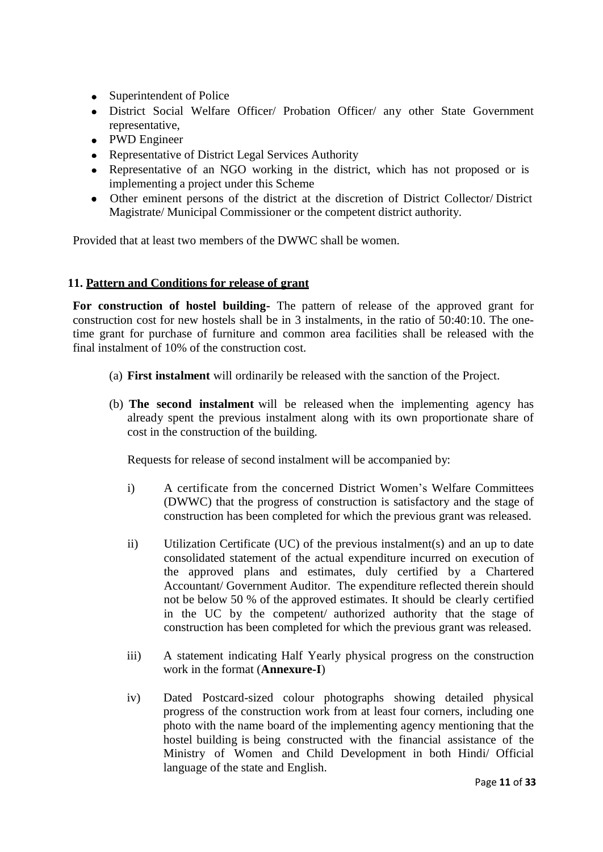- Superintendent of Police
- District Social Welfare Officer/ Probation Officer/ any other State Government representative,
- PWD Engineer
- Representative of District Legal Services Authority
- Representative of an NGO working in the district, which has not proposed or is implementing a project under this Scheme
- Other eminent persons of the district at the discretion of District Collector/ District Magistrate/ Municipal Commissioner or the competent district authority.

Provided that at least two members of the DWWC shall be women.

## **11. Pattern and Conditions for release of grant**

**For construction of hostel building-** The pattern of release of the approved grant for construction cost for new hostels shall be in 3 instalments, in the ratio of 50:40:10. The onetime grant for purchase of furniture and common area facilities shall be released with the final instalment of 10% of the construction cost.

- (a) **First instalment** will ordinarily be released with the sanction of the Project.
- (b) **The second instalment** will be released when the implementing agency has already spent the previous instalment along with its own proportionate share of cost in the construction of the building.

Requests for release of second instalment will be accompanied by:

- i) A certificate from the concerned District Women's Welfare Committees (DWWC) that the progress of construction is satisfactory and the stage of construction has been completed for which the previous grant was released.
- ii) Utilization Certificate (UC) of the previous instalment(s) and an up to date consolidated statement of the actual expenditure incurred on execution of the approved plans and estimates, duly certified by a Chartered Accountant/ Government Auditor. The expenditure reflected therein should not be below 50 % of the approved estimates. It should be clearly certified in the UC by the competent/ authorized authority that the stage of construction has been completed for which the previous grant was released.
- iii) A statement indicating Half Yearly physical progress on the construction work in the format (**Annexure-I**)
- iv) Dated Postcard-sized colour photographs showing detailed physical progress of the construction work from at least four corners, including one photo with the name board of the implementing agency mentioning that the hostel building is being constructed with the financial assistance of the Ministry of Women and Child Development in both Hindi/ Official language of the state and English.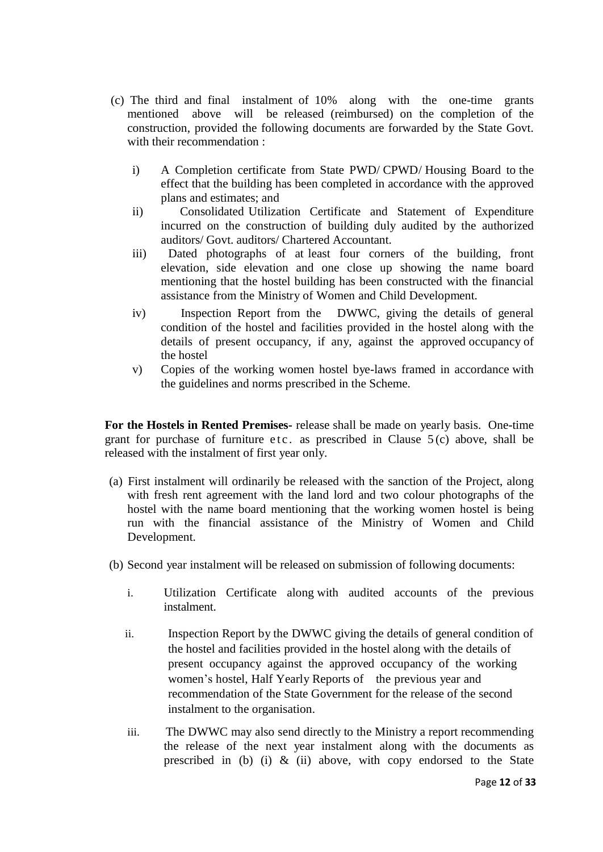- (c) The third and final instalment of 10% along with the one-time grants mentioned above will be released (reimbursed) on the completion of the construction, provided the following documents are forwarded by the State Govt. with their recommendation :
	- i) A Completion certificate from State PWD/ CPWD/ Housing Board to the effect that the building has been completed in accordance with the approved plans and estimates; and
	- ii) Consolidated Utilization Certificate and Statement of Expenditure incurred on the construction of building duly audited by the authorized auditors/ Govt. auditors/ Chartered Accountant.
	- iii) Dated photographs of at least four corners of the building, front elevation, side elevation and one close up showing the name board mentioning that the hostel building has been constructed with the financial assistance from the Ministry of Women and Child Development.
	- iv) Inspection Report from the DWWC, giving the details of general condition of the hostel and facilities provided in the hostel along with the details of present occupancy, if any, against the approved occupancy of the hostel
	- v) Copies of the working women hostel bye-laws framed in accordance with the guidelines and norms prescribed in the Scheme.

**For the Hostels in Rented Premises-** release shall be made on yearly basis. One-time grant for purchase of furniture etc. as prescribed in Clause  $5(c)$  above, shall be released with the instalment of first year only.

- (a) First instalment will ordinarily be released with the sanction of the Project, along with fresh rent agreement with the land lord and two colour photographs of the hostel with the name board mentioning that the working women hostel is being run with the financial assistance of the Ministry of Women and Child Development.
- (b) Second year instalment will be released on submission of following documents:
	- i. Utilization Certificate along with audited accounts of the previous instalment.
	- ii. Inspection Report by the DWWC giving the details of general condition of the hostel and facilities provided in the hostel along with the details of present occupancy against the approved occupancy of the working women's hostel, Half Yearly Reports of the previous year and recommendation of the State Government for the release of the second instalment to the organisation.
	- iii. The DWWC may also send directly to the Ministry a report recommending the release of the next year instalment along with the documents as prescribed in (b) (i)  $\&$  (ii) above, with copy endorsed to the State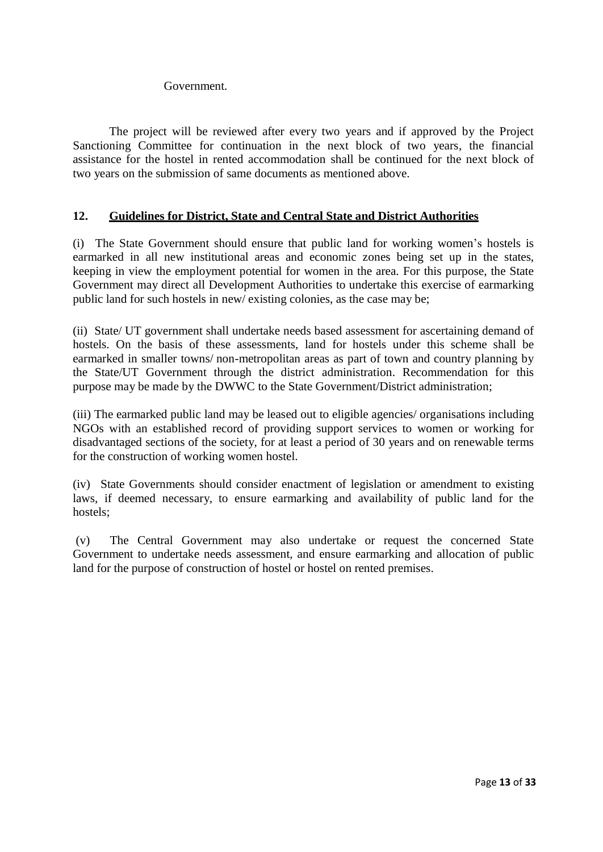## Government.

The project will be reviewed after every two years and if approved by the Project Sanctioning Committee for continuation in the next block of two years, the financial assistance for the hostel in rented accommodation shall be continued for the next block of two years on the submission of same documents as mentioned above.

## **12. Guidelines for District, State and Central State and District Authorities**

(i) The State Government should ensure that public land for working women's hostels is earmarked in all new institutional areas and economic zones being set up in the states, keeping in view the employment potential for women in the area. For this purpose, the State Government may direct all Development Authorities to undertake this exercise of earmarking public land for such hostels in new/ existing colonies, as the case may be;

(ii) State/ UT government shall undertake needs based assessment for ascertaining demand of hostels. On the basis of these assessments, land for hostels under this scheme shall be earmarked in smaller towns/ non-metropolitan areas as part of town and country planning by the State/UT Government through the district administration. Recommendation for this purpose may be made by the DWWC to the State Government/District administration;

(iii) The earmarked public land may be leased out to eligible agencies/ organisations including NGOs with an established record of providing support services to women or working for disadvantaged sections of the society, for at least a period of 30 years and on renewable terms for the construction of working women hostel.

(iv) State Governments should consider enactment of legislation or amendment to existing laws, if deemed necessary, to ensure earmarking and availability of public land for the hostels;

(v) The Central Government may also undertake or request the concerned State Government to undertake needs assessment, and ensure earmarking and allocation of public land for the purpose of construction of hostel or hostel on rented premises.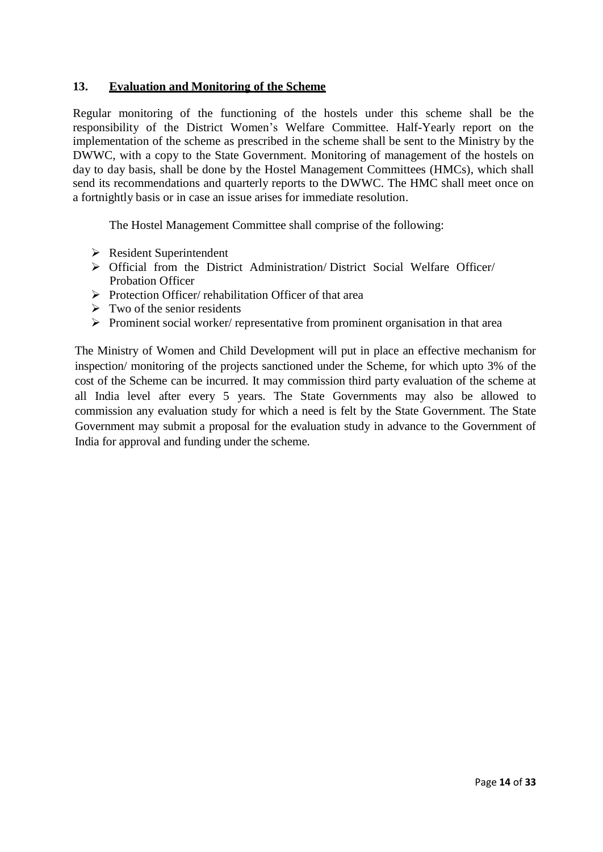## **13. Evaluation and Monitoring of the Scheme**

Regular monitoring of the functioning of the hostels under this scheme shall be the responsibility of the District Women's Welfare Committee. Half-Yearly report on the implementation of the scheme as prescribed in the scheme shall be sent to the Ministry by the DWWC, with a copy to the State Government. Monitoring of management of the hostels on day to day basis, shall be done by the Hostel Management Committees (HMCs), which shall send its recommendations and quarterly reports to the DWWC. The HMC shall meet once on a fortnightly basis or in case an issue arises for immediate resolution.

The Hostel Management Committee shall comprise of the following:

- Resident Superintendent
- Official from the District Administration/ District Social Welfare Officer/ Probation Officer
- $\triangleright$  Protection Officer/ rehabilitation Officer of that area
- $\triangleright$  Two of the senior residents
- $\triangleright$  Prominent social worker/ representative from prominent organisation in that area

The Ministry of Women and Child Development will put in place an effective mechanism for inspection/ monitoring of the projects sanctioned under the Scheme, for which upto 3% of the cost of the Scheme can be incurred. It may commission third party evaluation of the scheme at all India level after every 5 years. The State Governments may also be allowed to commission any evaluation study for which a need is felt by the State Government. The State Government may submit a proposal for the evaluation study in advance to the Government of India for approval and funding under the scheme.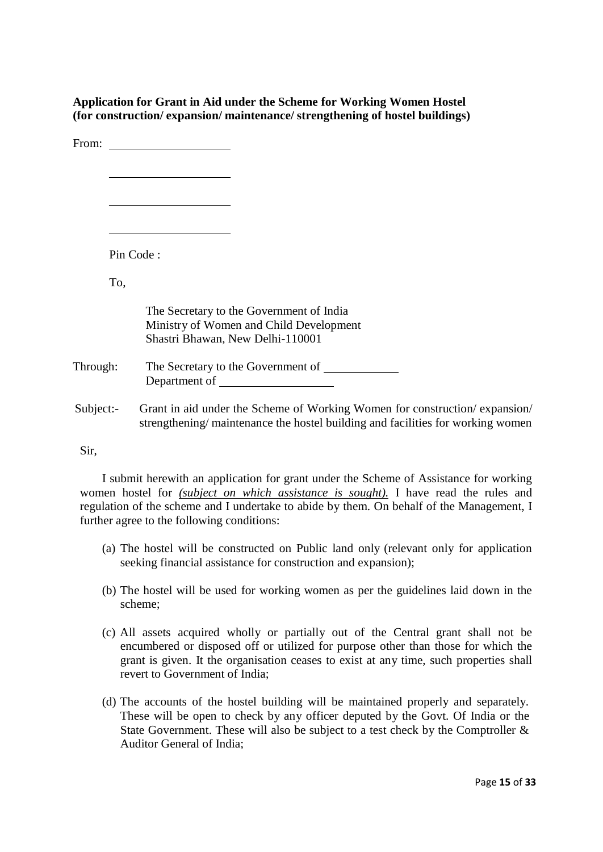**Application for Grant in Aid under the Scheme for Working Women Hostel (for construction/ expansion/ maintenance/ strengthening of hostel buildings)**

|              | From: $\qquad \qquad$                                                                                                                                                                                                         |
|--------------|-------------------------------------------------------------------------------------------------------------------------------------------------------------------------------------------------------------------------------|
|              |                                                                                                                                                                                                                               |
|              |                                                                                                                                                                                                                               |
|              | Pin Code:                                                                                                                                                                                                                     |
|              | To,                                                                                                                                                                                                                           |
|              | The Secretary to the Government of India<br>Ministry of Women and Child Development<br>Shastri Bhawan, New Delhi-110001                                                                                                       |
| Through:     | Department of the state of the state of the state of the state of the state of the state of the state of the state of the state of the state of the state of the state of the state of the state of the state of the state of |
| $Subject: -$ | Grant in aid under the Scheme of Working Women for construction/expansion/<br>strengthening/maintenance the hostel building and facilities for working women                                                                  |

Sir,

I submit herewith an application for grant under the Scheme of Assistance for working women hostel for *(subject on which assistance is sought).* I have read the rules and regulation of the scheme and I undertake to abide by them. On behalf of the Management, I further agree to the following conditions:

- (a) The hostel will be constructed on Public land only (relevant only for application seeking financial assistance for construction and expansion);
- (b) The hostel will be used for working women as per the guidelines laid down in the scheme;
- (c) All assets acquired wholly or partially out of the Central grant shall not be encumbered or disposed off or utilized for purpose other than those for which the grant is given. It the organisation ceases to exist at any time, such properties shall revert to Government of India;
- (d) The accounts of the hostel building will be maintained properly and separately. These will be open to check by any officer deputed by the Govt. Of India or the State Government. These will also be subject to a test check by the Comptroller & Auditor General of India;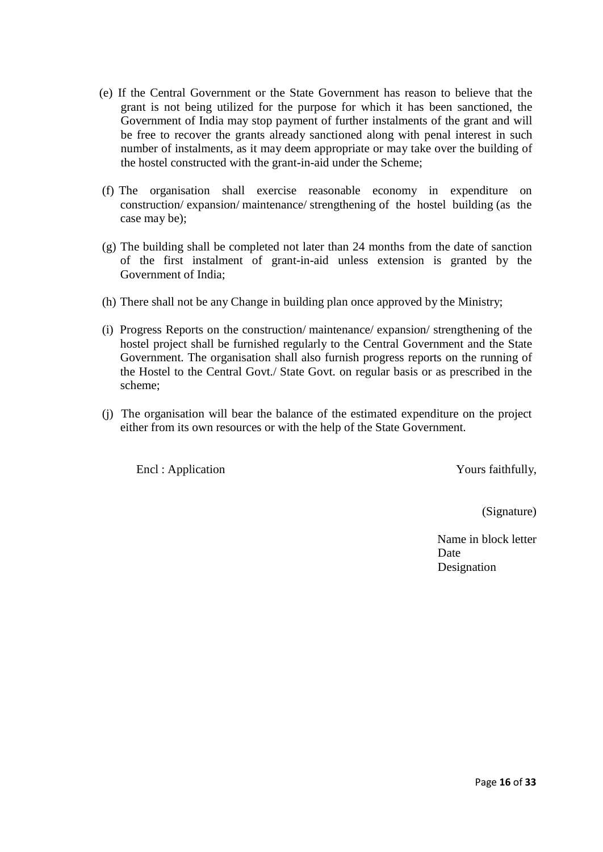- (e) If the Central Government or the State Government has reason to believe that the grant is not being utilized for the purpose for which it has been sanctioned, the Government of India may stop payment of further instalments of the grant and will be free to recover the grants already sanctioned along with penal interest in such number of instalments, as it may deem appropriate or may take over the building of the hostel constructed with the grant-in-aid under the Scheme;
- (f) The organisation shall exercise reasonable economy in expenditure on construction/ expansion/ maintenance/ strengthening of the hostel building (as the case may be);
- (g) The building shall be completed not later than 24 months from the date of sanction of the first instalment of grant-in-aid unless extension is granted by the Government of India;
- (h) There shall not be any Change in building plan once approved by the Ministry;
- (i) Progress Reports on the construction/ maintenance/ expansion/ strengthening of the hostel project shall be furnished regularly to the Central Government and the State Government. The organisation shall also furnish progress reports on the running of the Hostel to the Central Govt./ State Govt. on regular basis or as prescribed in the scheme;
- (j) The organisation will bear the balance of the estimated expenditure on the project either from its own resources or with the help of the State Government.

Encl : Application Yours faithfully,

(Signature)

Name in block letter Date Designation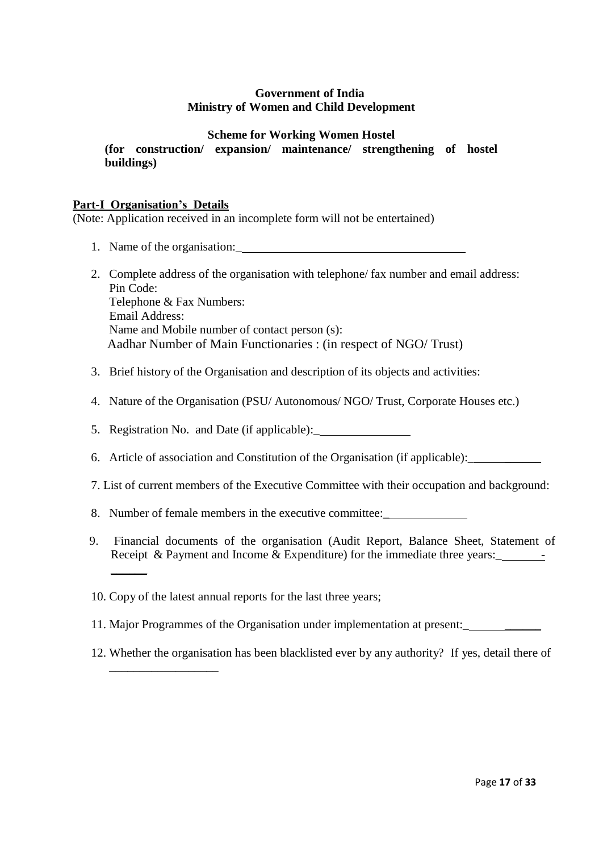## **Government of India Ministry of Women and Child Development**

## **Scheme for Working Women Hostel**

**(for construction/ expansion/ maintenance/ strengthening of hostel buildings)**

## **Part-I Organisation's Details**

 $\overline{\phantom{a}}$ 

\_\_\_\_\_\_\_\_\_\_\_\_\_\_\_\_\_\_

(Note: Application received in an incomplete form will not be entertained)

- 1. Name of the organisation:\_
- 2. Complete address of the organisation with telephone/ fax number and email address: Pin Code: Telephone & Fax Numbers: Email Address: Name and Mobile number of contact person (s): Aadhar Number of Main Functionaries : (in respect of NGO/ Trust)
- 3. Brief history of the Organisation and description of its objects and activities:
- 4. Nature of the Organisation (PSU/ Autonomous/ NGO/ Trust, Corporate Houses etc.)
- 5. Registration No. and Date (if applicable):\_
- 6. Article of association and Constitution of the Organisation (if applicable):
- 7. List of current members of the Executive Committee with their occupation and background:
- 8. Number of female members in the executive committee:\_
- 9. Financial documents of the organisation (Audit Report, Balance Sheet, Statement of Receipt & Payment and Income & Expenditure) for the immediate three years:
- 10. Copy of the latest annual reports for the last three years;
- 11. Major Programmes of the Organisation under implementation at present:\_ \_\_\_\_\_\_
- 12. Whether the organisation has been blacklisted ever by any authority? If yes, detail there of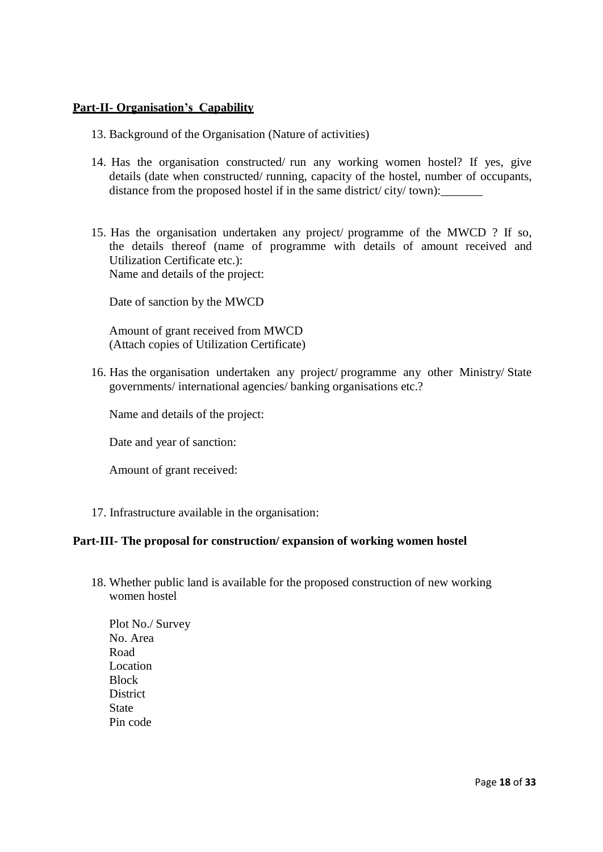## **Part-II- Organisation's Capability**

- 13. Background of the Organisation (Nature of activities)
- 14. Has the organisation constructed/ run any working women hostel? If yes, give details (date when constructed/ running, capacity of the hostel, number of occupants, distance from the proposed hostel if in the same district/ city/ town):
- 15. Has the organisation undertaken any project/ programme of the MWCD ? If so, the details thereof (name of programme with details of amount received and Utilization Certificate etc.): Name and details of the project:

Date of sanction by the MWCD

Amount of grant received from MWCD (Attach copies of Utilization Certificate)

16. Has the organisation undertaken any project/ programme any other Ministry/ State governments/ international agencies/ banking organisations etc.?

Name and details of the project:

Date and year of sanction:

Amount of grant received:

17. Infrastructure available in the organisation:

## **Part-III- The proposal for construction/ expansion of working women hostel**

18. Whether public land is available for the proposed construction of new working women hostel

Plot No./ Survey No. Area Road Location **Block District State** Pin code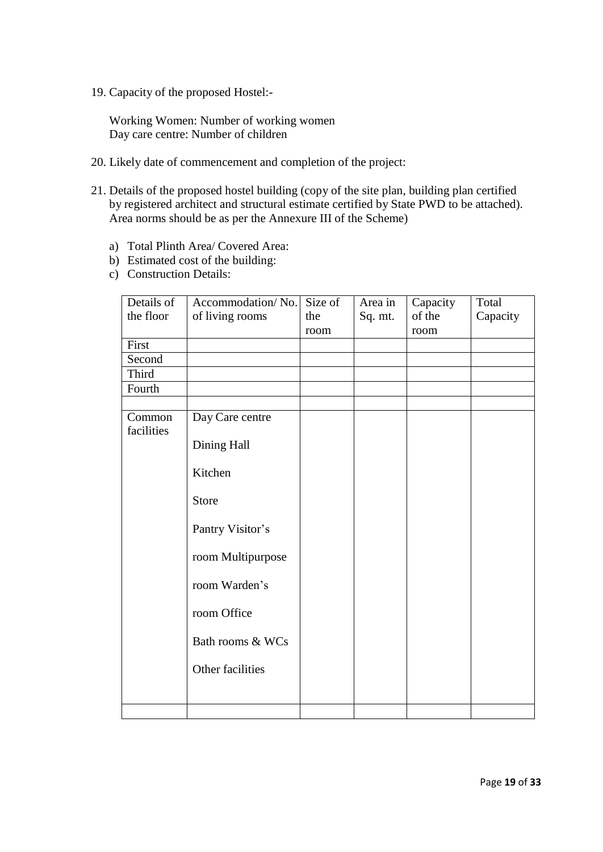19. Capacity of the proposed Hostel:-

Working Women: Number of working women Day care centre: Number of children

- 20. Likely date of commencement and completion of the project:
- 21. Details of the proposed hostel building (copy of the site plan, building plan certified by registered architect and structural estimate certified by State PWD to be attached). Area norms should be as per the Annexure III of the Scheme)
	- a) Total Plinth Area/ Covered Area:
	- b) Estimated cost of the building:
	- c) Construction Details:

| Details of<br>the floor | Accommodation/No.<br>of living rooms | Size of<br>the<br>room | Area in<br>Sq. mt. | Capacity<br>of the<br>room | Total<br>Capacity |
|-------------------------|--------------------------------------|------------------------|--------------------|----------------------------|-------------------|
| First                   |                                      |                        |                    |                            |                   |
| Second                  |                                      |                        |                    |                            |                   |
| Third                   |                                      |                        |                    |                            |                   |
| Fourth                  |                                      |                        |                    |                            |                   |
|                         |                                      |                        |                    |                            |                   |
| Common<br>facilities    | Day Care centre                      |                        |                    |                            |                   |
|                         | Dining Hall                          |                        |                    |                            |                   |
|                         | Kitchen                              |                        |                    |                            |                   |
|                         | <b>Store</b>                         |                        |                    |                            |                   |
|                         | Pantry Visitor's                     |                        |                    |                            |                   |
|                         | room Multipurpose                    |                        |                    |                            |                   |
|                         | room Warden's                        |                        |                    |                            |                   |
|                         | room Office                          |                        |                    |                            |                   |
|                         | Bath rooms & WCs                     |                        |                    |                            |                   |
|                         | Other facilities                     |                        |                    |                            |                   |
|                         |                                      |                        |                    |                            |                   |
|                         |                                      |                        |                    |                            |                   |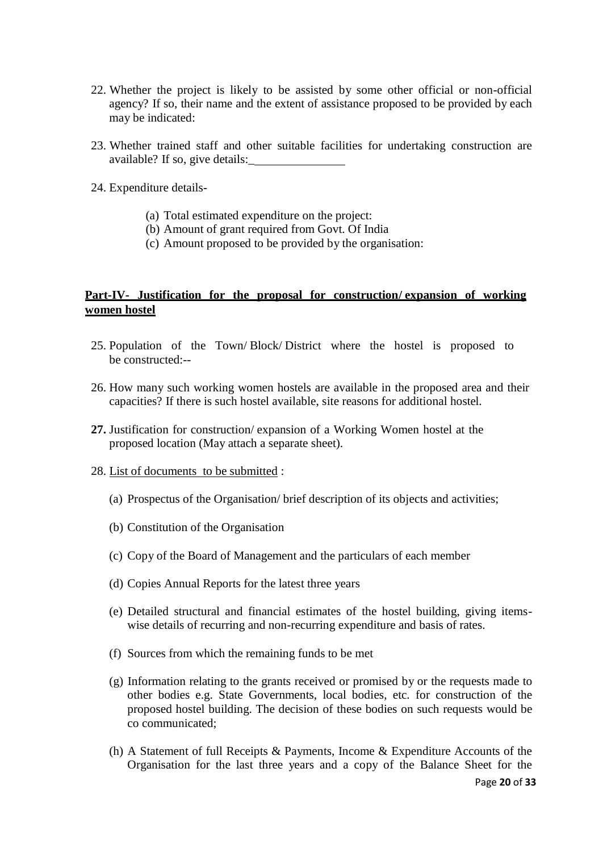- 22. Whether the project is likely to be assisted by some other official or non-official agency? If so, their name and the extent of assistance proposed to be provided by each may be indicated:
- 23. Whether trained staff and other suitable facilities for undertaking construction are available? If so, give details:\_
- 24. Expenditure details-
	- (a) Total estimated expenditure on the project:
	- (b) Amount of grant required from Govt. Of India
	- (c) Amount proposed to be provided by the organisation:

## **Part-IV- Justification for the proposal for construction/ expansion of working women hostel**

- 25. Population of the Town/ Block/ District where the hostel is proposed to be constructed:--
- 26. How many such working women hostels are available in the proposed area and their capacities? If there is such hostel available, site reasons for additional hostel.
- **27.** Justification for construction/ expansion of a Working Women hostel at the proposed location (May attach a separate sheet).
- 28. List of documents to be submitted :
	- (a) Prospectus of the Organisation/ brief description of its objects and activities;
	- (b) Constitution of the Organisation
	- (c) Copy of the Board of Management and the particulars of each member
	- (d) Copies Annual Reports for the latest three years
	- (e) Detailed structural and financial estimates of the hostel building, giving itemswise details of recurring and non-recurring expenditure and basis of rates.
	- (f) Sources from which the remaining funds to be met
	- (g) Information relating to the grants received or promised by or the requests made to other bodies e.g. State Governments, local bodies, etc. for construction of the proposed hostel building. The decision of these bodies on such requests would be co communicated;
	- (h) A Statement of full Receipts & Payments, Income & Expenditure Accounts of the Organisation for the last three years and a copy of the Balance Sheet for the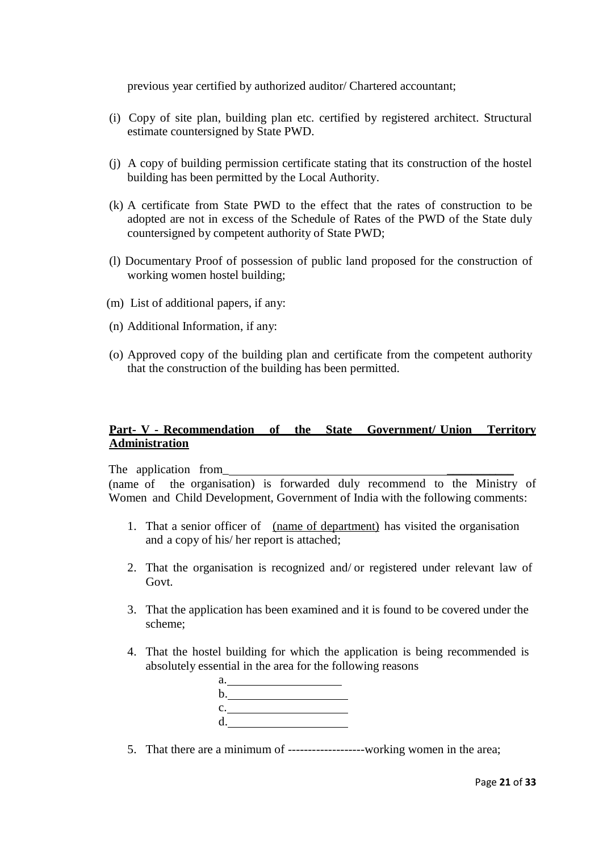previous year certified by authorized auditor/ Chartered accountant;

- (i) Copy of site plan, building plan etc. certified by registered architect. Structural estimate countersigned by State PWD.
- (j) A copy of building permission certificate stating that its construction of the hostel building has been permitted by the Local Authority.
- (k) A certificate from State PWD to the effect that the rates of construction to be adopted are not in excess of the Schedule of Rates of the PWD of the State duly countersigned by competent authority of State PWD;
- (l) Documentary Proof of possession of public land proposed for the construction of working women hostel building;
- (m) List of additional papers, if any:
- (n) Additional Information, if any:
- (o) Approved copy of the building plan and certificate from the competent authority that the construction of the building has been permitted.

## **Part- V - Recommendation of the State Government/ Union Territory Administration**

The application from

(name of the organisation) is forwarded duly recommend to the Ministry of Women and Child Development, Government of India with the following comments:

- 1. That a senior officer of (name of department) has visited the organisation and a copy of his/ her report is attached;
- 2. That the organisation is recognized and/ or registered under relevant law of Govt.
- 3. That the application has been examined and it is found to be covered under the scheme;
- 4. That the hostel building for which the application is being recommended is absolutely essential in the area for the following reasons

| a.             |  |
|----------------|--|
| b.             |  |
| $\mathbf{c}$ . |  |
| $\mathbf{d}$ . |  |

5. That there are a minimum of -------------------working women in the area;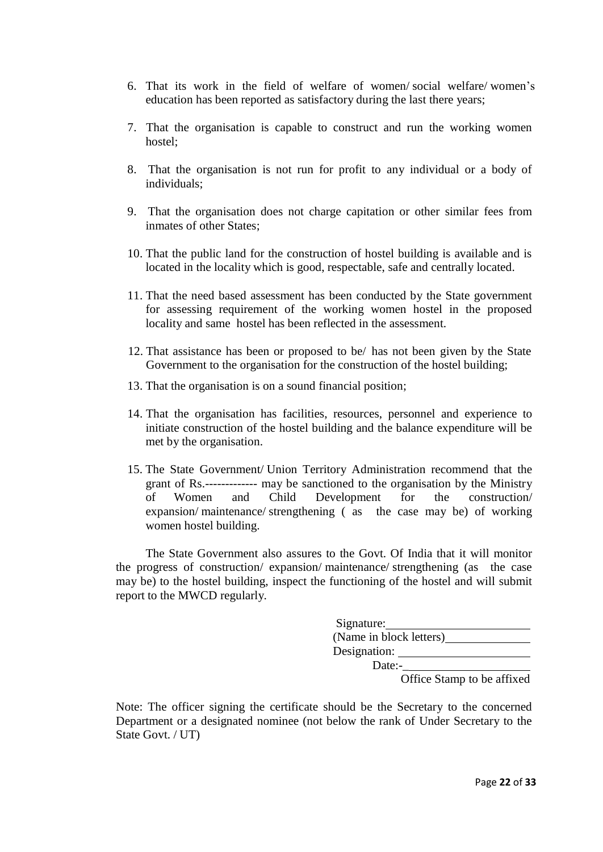- 6. That its work in the field of welfare of women/ social welfare/ women's education has been reported as satisfactory during the last there years;
- 7. That the organisation is capable to construct and run the working women hostel;
- 8. That the organisation is not run for profit to any individual or a body of individuals;
- 9. That the organisation does not charge capitation or other similar fees from inmates of other States;
- 10. That the public land for the construction of hostel building is available and is located in the locality which is good, respectable, safe and centrally located.
- 11. That the need based assessment has been conducted by the State government for assessing requirement of the working women hostel in the proposed locality and same hostel has been reflected in the assessment.
- 12. That assistance has been or proposed to be/ has not been given by the State Government to the organisation for the construction of the hostel building;
- 13. That the organisation is on a sound financial position;
- 14. That the organisation has facilities, resources, personnel and experience to initiate construction of the hostel building and the balance expenditure will be met by the organisation.
- 15. The State Government/ Union Territory Administration recommend that the grant of Rs.------------- may be sanctioned to the organisation by the Ministry of Women and Child Development for the construction/ expansion/ maintenance/ strengthening ( as the case may be) of working women hostel building.

The State Government also assures to the Govt. Of India that it will monitor the progress of construction/ expansion/ maintenance/ strengthening (as the case may be) to the hostel building, inspect the functioning of the hostel and will submit report to the MWCD regularly.

| Signature:              |
|-------------------------|
| (Name in block letters) |
| Designation:            |
| Date:-                  |

Office Stamp to be affixed

Note: The officer signing the certificate should be the Secretary to the concerned Department or a designated nominee (not below the rank of Under Secretary to the State Govt. / UT)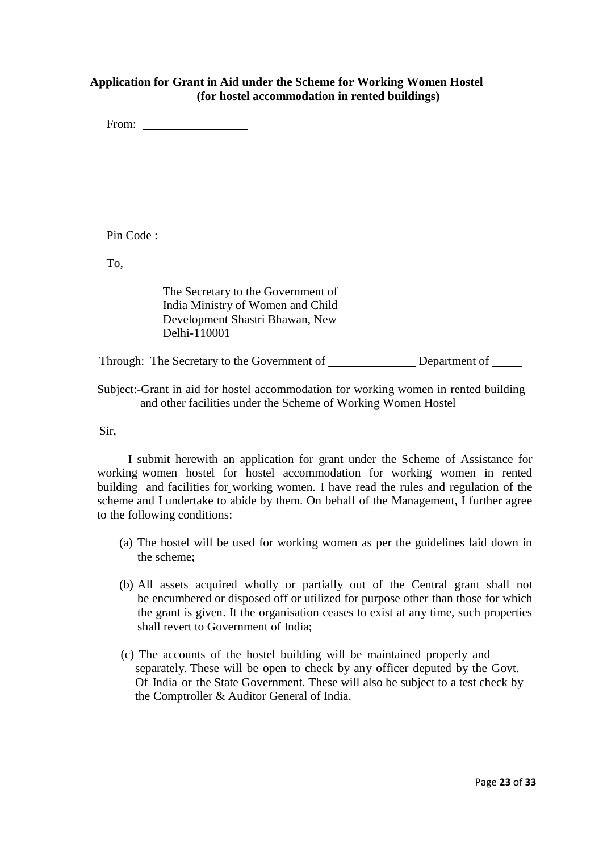## **Application for Grant in Aid under the Scheme for Working Women Hostel (for hostel accommodation in rented buildings)**

From:  $\blacksquare$ Pin Code : To, The Secretary to the Government of India Ministry of Women and Child Development Shastri Bhawan, New Delhi-110001 Through: The Secretary to the Government of Department of

Subject:-Grant in aid for hostel accommodation for working women in rented building and other facilities under the Scheme of Working Women Hostel

Sir,

I submit herewith an application for grant under the Scheme of Assistance for working women hostel for hostel accommodation for working women in rented building and facilities for working women*.* I have read the rules and regulation of the scheme and I undertake to abide by them. On behalf of the Management, I further agree to the following conditions:

- (a) The hostel will be used for working women as per the guidelines laid down in the scheme;
- (b) All assets acquired wholly or partially out of the Central grant shall not be encumbered or disposed off or utilized for purpose other than those for which the grant is given. It the organisation ceases to exist at any time, such properties shall revert to Government of India;
- (c) The accounts of the hostel building will be maintained properly and separately. These will be open to check by any officer deputed by the Govt. Of India or the State Government. These will also be subject to a test check by the Comptroller & Auditor General of India.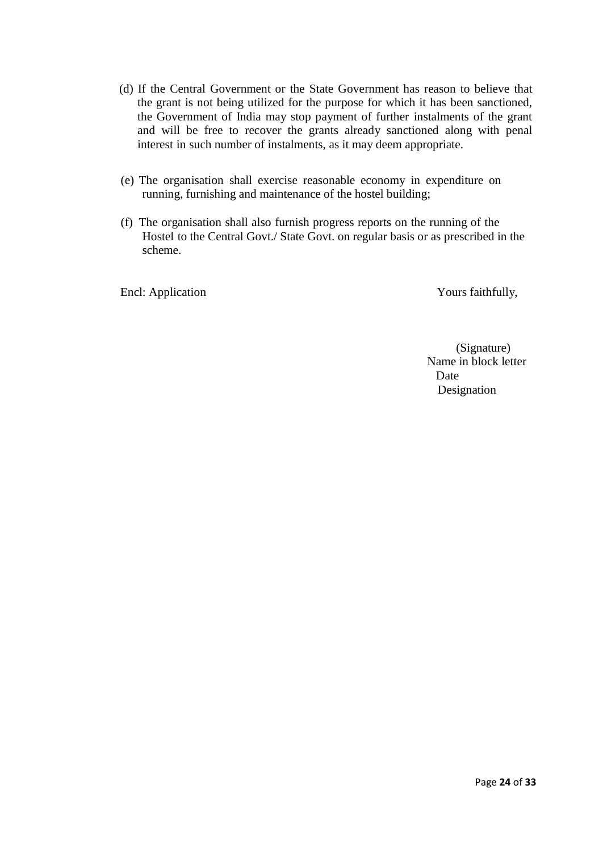- (d) If the Central Government or the State Government has reason to believe that the grant is not being utilized for the purpose for which it has been sanctioned, the Government of India may stop payment of further instalments of the grant and will be free to recover the grants already sanctioned along with penal interest in such number of instalments, as it may deem appropriate.
- (e) The organisation shall exercise reasonable economy in expenditure on running, furnishing and maintenance of the hostel building;
- (f) The organisation shall also furnish progress reports on the running of the Hostel to the Central Govt./ State Govt. on regular basis or as prescribed in the scheme.

Encl: Application Yours faithfully,

(Signature) Name in block letter Date Designation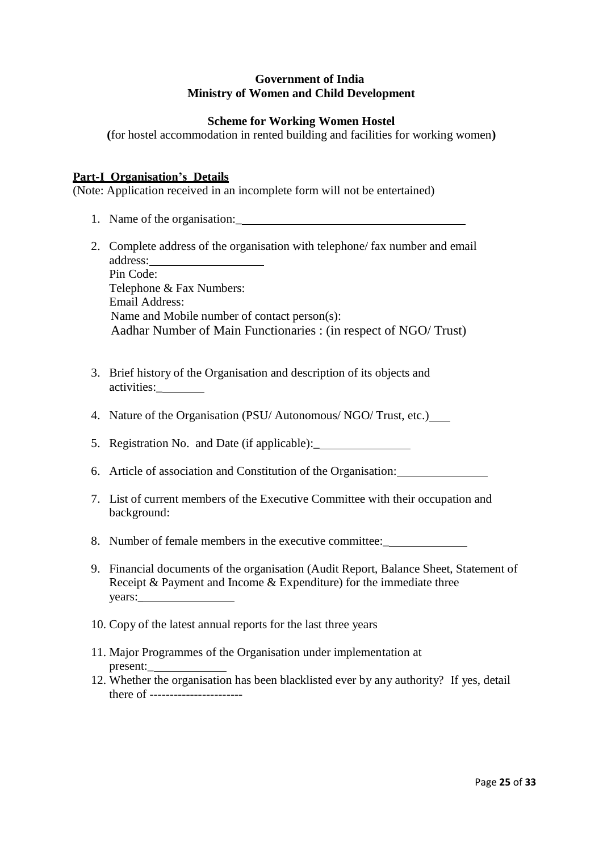## **Government of India Ministry of Women and Child Development**

## **Scheme for Working Women Hostel**

**(**for hostel accommodation in rented building and facilities for working women**)**

## **Part-I Organisation's Details**

(Note: Application received in an incomplete form will not be entertained)

- 1. Name of the organisation:\_
- 2. Complete address of the organisation with telephone/ fax number and email address: Pin Code: Telephone & Fax Numbers: Email Address: Name and Mobile number of contact person(s): Aadhar Number of Main Functionaries : (in respect of NGO/ Trust)
- 3. Brief history of the Organisation and description of its objects and activities:\_
- 4. Nature of the Organisation (PSU/ Autonomous/ NGO/ Trust, etc.)
- 5. Registration No. and Date (if applicable):\_
- 6. Article of association and Constitution of the Organisation:
- 7. List of current members of the Executive Committee with their occupation and background:
- 8. Number of female members in the executive committee:\_
- 9. Financial documents of the organisation (Audit Report, Balance Sheet, Statement of Receipt & Payment and Income & Expenditure) for the immediate three years:\_
- 10. Copy of the latest annual reports for the last three years
- 11. Major Programmes of the Organisation under implementation at present:\_
- 12. Whether the organisation has been blacklisted ever by any authority? If yes, detail there of -----------------------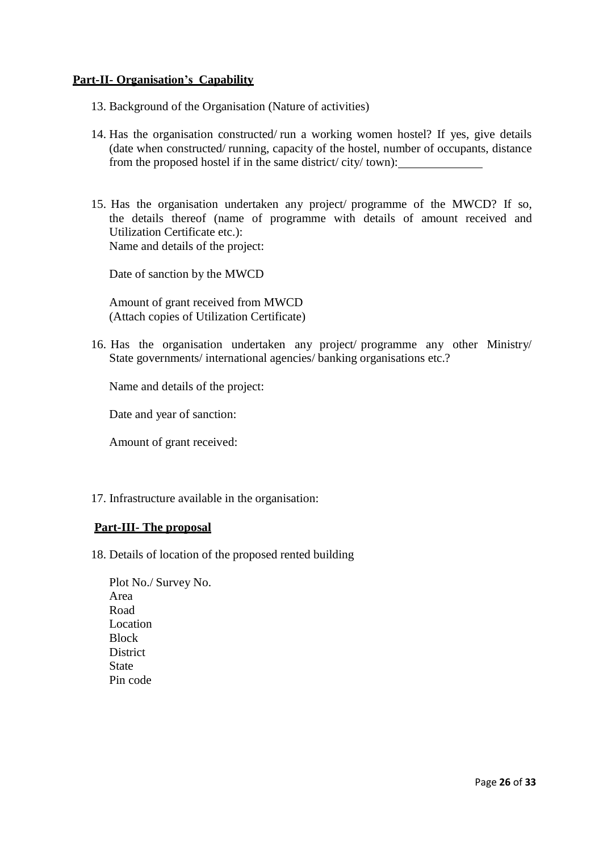## **Part-II- Organisation's Capability**

- 13. Background of the Organisation (Nature of activities)
- 14. Has the organisation constructed/ run a working women hostel? If yes, give details (date when constructed/ running, capacity of the hostel, number of occupants, distance from the proposed hostel if in the same district/ city/ town):
- 15. Has the organisation undertaken any project/ programme of the MWCD? If so, the details thereof (name of programme with details of amount received and Utilization Certificate etc.): Name and details of the project:

Date of sanction by the MWCD

Amount of grant received from MWCD (Attach copies of Utilization Certificate)

16. Has the organisation undertaken any project/ programme any other Ministry/ State governments/ international agencies/ banking organisations etc.?

Name and details of the project:

Date and year of sanction:

Amount of grant received:

17. Infrastructure available in the organisation:

## **Part-III- The proposal**

- 18. Details of location of the proposed rented building
	- Plot No./ Survey No. Area Road Location **Block District State** Pin code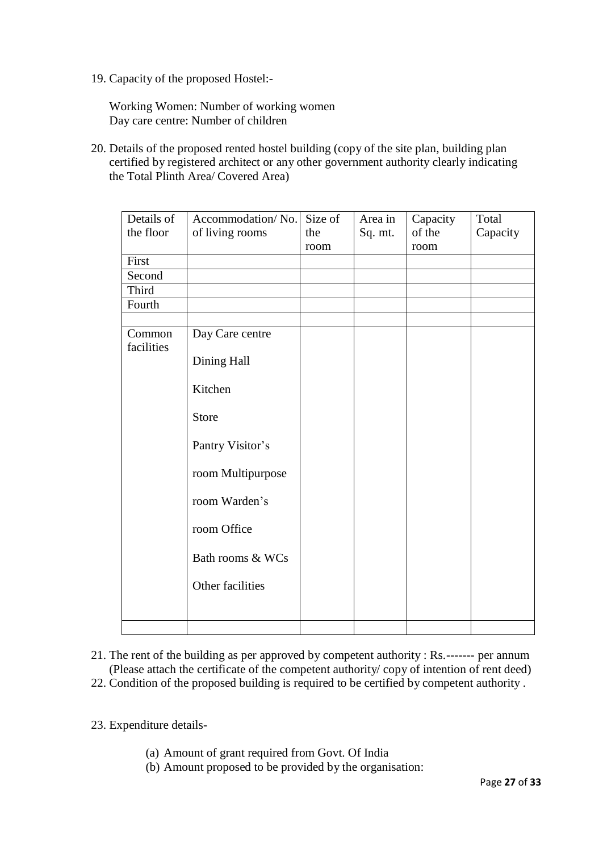19. Capacity of the proposed Hostel:-

Working Women: Number of working women Day care centre: Number of children

20. Details of the proposed rented hostel building (copy of the site plan, building plan certified by registered architect or any other government authority clearly indicating the Total Plinth Area/ Covered Area)

| Details of<br>the floor | Accommodation/No.<br>of living rooms | Size of<br>the | Area in<br>Sq. mt. | Capacity<br>of the | Total<br>Capacity |
|-------------------------|--------------------------------------|----------------|--------------------|--------------------|-------------------|
|                         |                                      | room           |                    | room               |                   |
| First                   |                                      |                |                    |                    |                   |
| Second                  |                                      |                |                    |                    |                   |
| Third                   |                                      |                |                    |                    |                   |
| Fourth                  |                                      |                |                    |                    |                   |
| Common                  | Day Care centre                      |                |                    |                    |                   |
| facilities              | Dining Hall                          |                |                    |                    |                   |
|                         | Kitchen                              |                |                    |                    |                   |
|                         | <b>Store</b>                         |                |                    |                    |                   |
|                         | Pantry Visitor's                     |                |                    |                    |                   |
|                         | room Multipurpose                    |                |                    |                    |                   |
|                         | room Warden's                        |                |                    |                    |                   |
|                         | room Office                          |                |                    |                    |                   |
|                         | Bath rooms & WCs                     |                |                    |                    |                   |
|                         | Other facilities                     |                |                    |                    |                   |
|                         |                                      |                |                    |                    |                   |
|                         |                                      |                |                    |                    |                   |

- 21. The rent of the building as per approved by competent authority : Rs.------- per annum (Please attach the certificate of the competent authority/ copy of intention of rent deed)
- 22. Condition of the proposed building is required to be certified by competent authority .

23. Expenditure details-

- (a) Amount of grant required from Govt. Of India
- (b) Amount proposed to be provided by the organisation: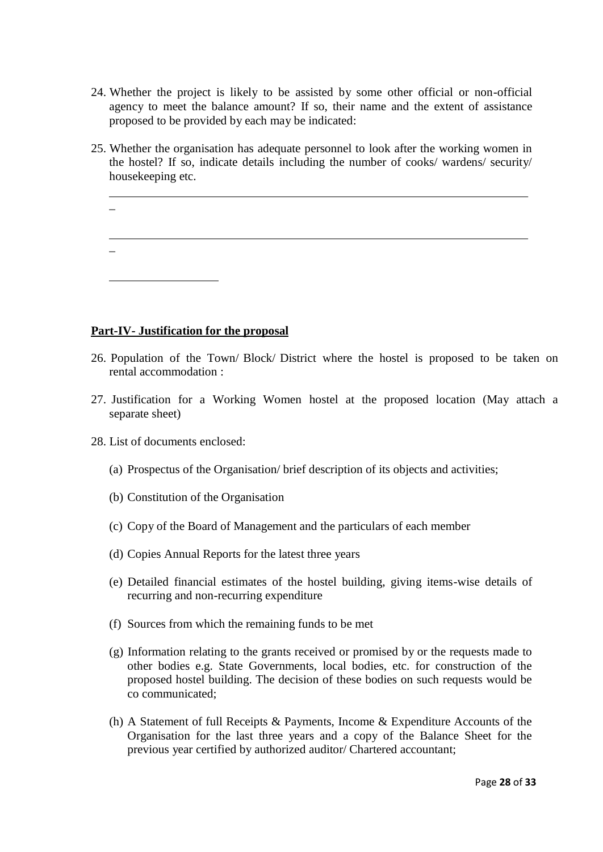- 24. Whether the project is likely to be assisted by some other official or non-official agency to meet the balance amount? If so, their name and the extent of assistance proposed to be provided by each may be indicated:
- 25. Whether the organisation has adequate personnel to look after the working women in the hostel? If so, indicate details including the number of cooks/ wardens/ security/ housekeeping etc.
	- \_ \_

## **Part-IV- Justification for the proposal**

- 26. Population of the Town/ Block/ District where the hostel is proposed to be taken on rental accommodation :
- 27. Justification for a Working Women hostel at the proposed location (May attach a separate sheet)
- 28. List of documents enclosed:
	- (a) Prospectus of the Organisation/ brief description of its objects and activities;
	- (b) Constitution of the Organisation
	- (c) Copy of the Board of Management and the particulars of each member
	- (d) Copies Annual Reports for the latest three years
	- (e) Detailed financial estimates of the hostel building, giving items-wise details of recurring and non-recurring expenditure
	- (f) Sources from which the remaining funds to be met
	- (g) Information relating to the grants received or promised by or the requests made to other bodies e.g. State Governments, local bodies, etc. for construction of the proposed hostel building. The decision of these bodies on such requests would be co communicated;
	- (h) A Statement of full Receipts & Payments, Income & Expenditure Accounts of the Organisation for the last three years and a copy of the Balance Sheet for the previous year certified by authorized auditor/ Chartered accountant;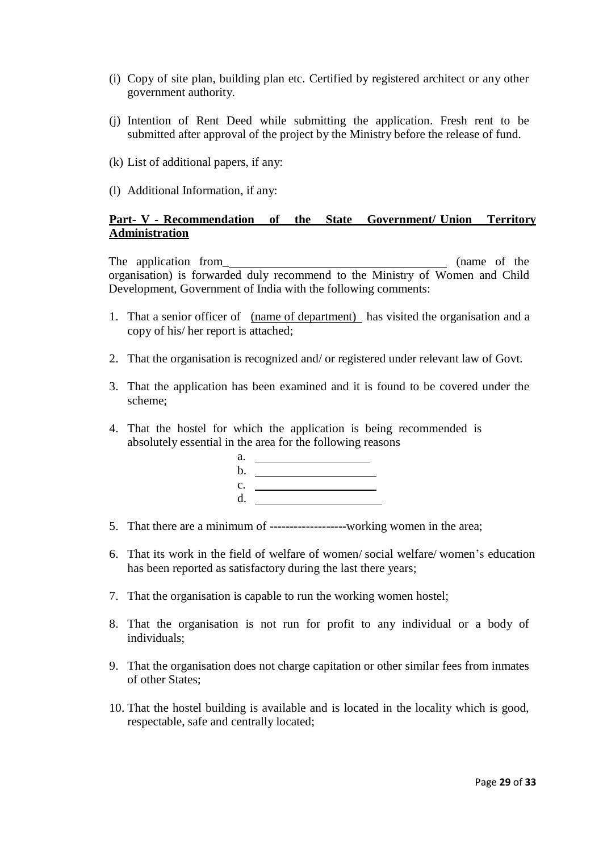- (i) Copy of site plan, building plan etc. Certified by registered architect or any other government authority.
- (j) Intention of Rent Deed while submitting the application. Fresh rent to be submitted after approval of the project by the Ministry before the release of fund.
- (k) List of additional papers, if any:
- (l) Additional Information, if any:

## **Part- V - Recommendation of the State Government/ Union Territory Administration**

The application from\_ (name of the organisation) is forwarded duly recommend to the Ministry of Women and Child Development, Government of India with the following comments:

- 1. That a senior officer of (name of department) has visited the organisation and a copy of his/ her report is attached;
- 2. That the organisation is recognized and/ or registered under relevant law of Govt.
- 3. That the application has been examined and it is found to be covered under the scheme;
- 4. That the hostel for which the application is being recommended is absolutely essential in the area for the following reasons

| a.       |                                                                                                                                                                                                                                      |
|----------|--------------------------------------------------------------------------------------------------------------------------------------------------------------------------------------------------------------------------------------|
| b.       | <u> 1989 - Andrea Station Books and the Station Books and the Station Books and the Station Books and the Station Books and the Station Books and the Station Books and the Station Books and the Station Books and the Station </u> |
|          |                                                                                                                                                                                                                                      |
| c.<br>d. |                                                                                                                                                                                                                                      |

- 5. That there are a minimum of -------------------working women in the area;
- 6. That its work in the field of welfare of women/ social welfare/ women's education has been reported as satisfactory during the last there years;
- 7. That the organisation is capable to run the working women hostel;
- 8. That the organisation is not run for profit to any individual or a body of individuals;
- 9. That the organisation does not charge capitation or other similar fees from inmates of other States;
- 10. That the hostel building is available and is located in the locality which is good, respectable, safe and centrally located;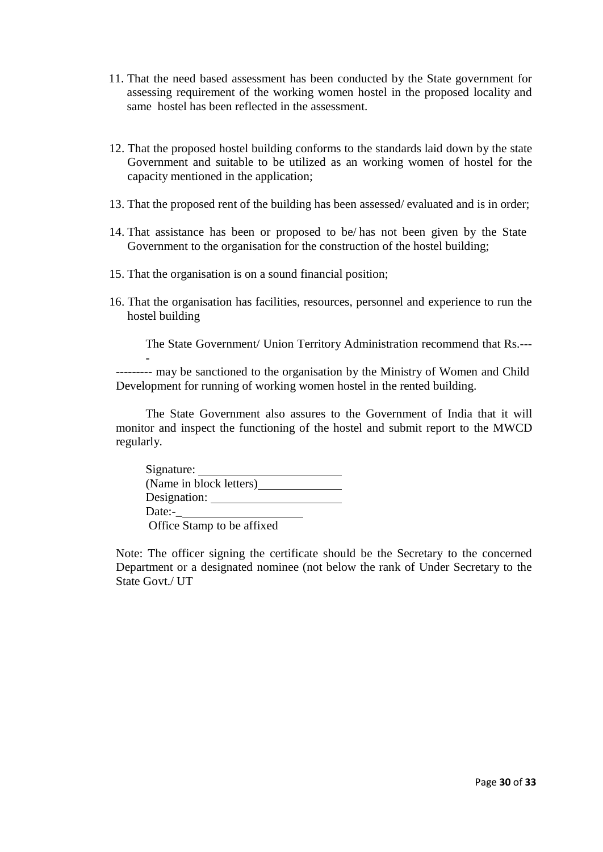- 11. That the need based assessment has been conducted by the State government for assessing requirement of the working women hostel in the proposed locality and same hostel has been reflected in the assessment.
- 12. That the proposed hostel building conforms to the standards laid down by the state Government and suitable to be utilized as an working women of hostel for the capacity mentioned in the application;
- 13. That the proposed rent of the building has been assessed/ evaluated and is in order;
- 14. That assistance has been or proposed to be/ has not been given by the State Government to the organisation for the construction of the hostel building;
- 15. That the organisation is on a sound financial position;

-

16. That the organisation has facilities, resources, personnel and experience to run the hostel building

The State Government/ Union Territory Administration recommend that Rs.---

--------- may be sanctioned to the organisation by the Ministry of Women and Child Development for running of working women hostel in the rented building.

The State Government also assures to the Government of India that it will monitor and inspect the functioning of the hostel and submit report to the MWCD regularly.

| Signature:                 |  |
|----------------------------|--|
| (Name in block letters)    |  |
| Designation:               |  |
| Date:-                     |  |
| Office Stamp to be affixed |  |

Note: The officer signing the certificate should be the Secretary to the concerned Department or a designated nominee (not below the rank of Under Secretary to the State Govt./ UT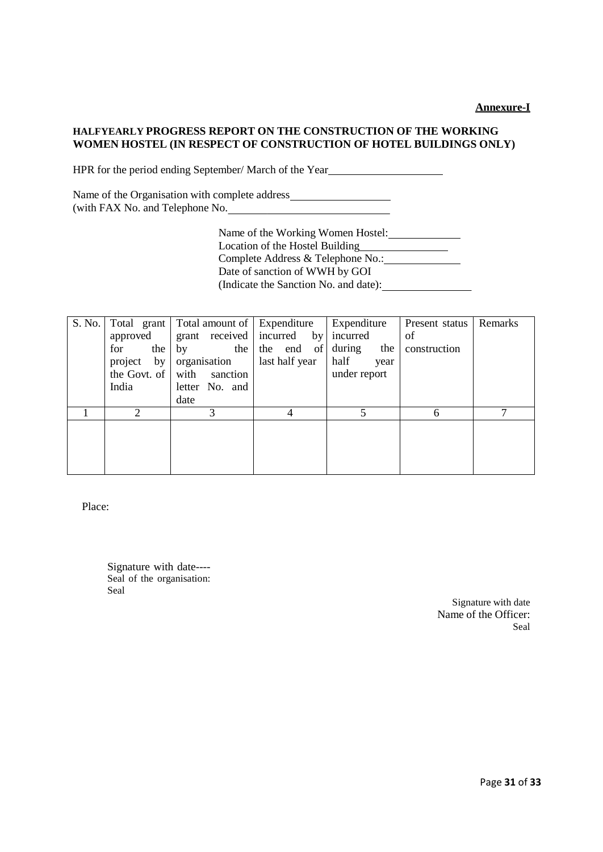#### **HALFYEARLY PROGRESS REPORT ON THE CONSTRUCTION OF THE WORKING WOMEN HOSTEL (IN RESPECT OF CONSTRUCTION OF HOTEL BUILDINGS ONLY)**

HPR for the period ending September/ March of the Year

Name of the Organisation with complete address (with FAX No. and Telephone No.

> Name of the Working Women Hostel: Location of the Hostel Building<br>
> <u>Location</u> Complete Address & Telephone No.: Date of sanction of WWH by GOI (Indicate the Sanction No. and date):

| S. No. |                            | Total grant   Total amount of   Expenditure |                                     | Expenditure   | Present status | Remarks |
|--------|----------------------------|---------------------------------------------|-------------------------------------|---------------|----------------|---------|
|        | approved                   |                                             | grant received incurred by incurred |               | of             |         |
|        | for<br>the                 | the  <br>by                                 | the end of                          | during<br>the | construction   |         |
|        | organisation<br>project by |                                             | last half year                      | half<br>year  |                |         |
|        | the Govt. of               | with sanction                               |                                     | under report  |                |         |
|        | India                      | letter No. and                              |                                     |               |                |         |
|        |                            | date                                        |                                     |               |                |         |
|        | 2                          | 3                                           |                                     |               | 6              | ⇁       |
|        |                            |                                             |                                     |               |                |         |
|        |                            |                                             |                                     |               |                |         |
|        |                            |                                             |                                     |               |                |         |
|        |                            |                                             |                                     |               |                |         |

Place:

Signature with date---- Seal of the organisation: Seal

> Signature with date Name of the Officer: Seal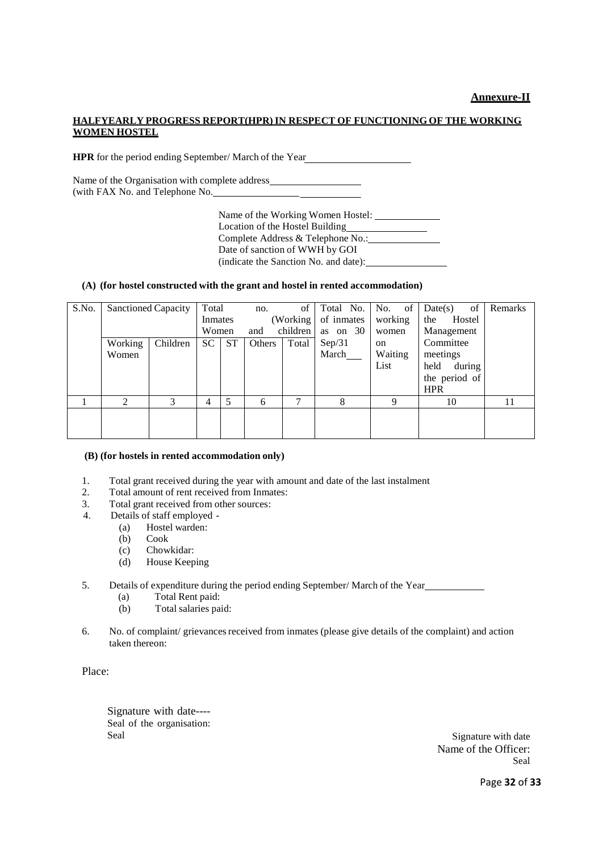#### **Annexure-II**

#### **HALFYEARLY PROGRESS REPORT(HPR)IN RESPECT OF FUNCTIONING OF THE WORKING WOMEN HOSTEL**

**HPR** for the period ending September/ March of the Year

Name of the Organisation with complete address (with FAX No. and Telephone No.

> Name of the Working Women Hostel: Location of the Hostel Building Complete Address & Telephone No.: Date of sanction of WWH by GOI (indicate the Sanction No. and date):

#### **(A) (for hostel constructed with the grant and hostel in rented accommodation)**

| S.No. |         | <b>Sanctioned Capacity</b> | Total   |           | no.    | of        | Total No.  | No. of        | Date(s)<br>of  | Remarks |
|-------|---------|----------------------------|---------|-----------|--------|-----------|------------|---------------|----------------|---------|
|       |         |                            | Inmates |           |        | (Working) | of inmates | working       | the<br>Hostel  |         |
|       |         |                            | Women   |           | and    | children  | as on $30$ | women         | Management     |         |
|       | Working | Children                   | SC.     | <b>ST</b> | Others | Total     | Sep/31     | <sub>on</sub> | Committee      |         |
|       | Women   |                            |         |           |        |           | March      | Waiting       | meetings       |         |
|       |         |                            |         |           |        |           |            | List          | held<br>during |         |
|       |         |                            |         |           |        |           |            |               | the period of  |         |
|       |         |                            |         |           |        |           |            |               | <b>HPR</b>     |         |
|       |         | $\mathcal{R}$              | 4       | 5         | 6      |           | 8          | q             | 10             | 11      |
|       |         |                            |         |           |        |           |            |               |                |         |
|       |         |                            |         |           |        |           |            |               |                |         |
|       |         |                            |         |           |        |           |            |               |                |         |

#### **(B) (for hostels in rented accommodation only)**

- 1. Total grant received during the year with amount and date of the last instalment 2. Total amount of rent received from Inmates:
- 2. Total amount of rent received from Inmates:<br>3. Total grant received from other sources:
- Total grant received from other sources:
- 4. Details of staff employed
	- (a) Hostel warden:
	- (b) Cook
	- (c) Chowkidar:
	- (d) House Keeping
- 5. Details of expenditure during the period ending September/ March of the Year
	- (a) Total Rent paid:
	- (b) Total salaries paid:
- 6. No. of complaint/ grievancesreceived from inmates (please give details of the complaint) and action taken thereon:

Place:

Signature with date---- Seal of the organisation: Seal Signature with date

Name of the Officer: Seal